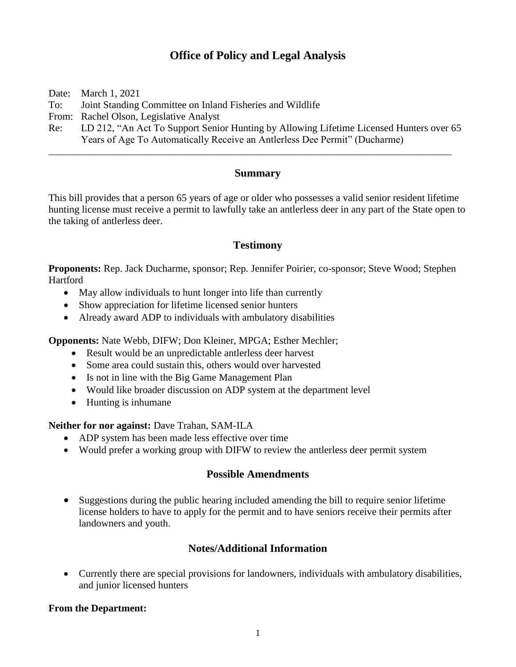# **Office of Policy and Legal Analysis**

Date: March 1, 2021

To: Joint Standing Committee on Inland Fisheries and Wildlife

From: Rachel Olson, Legislative Analyst

Re: LD 212, "An Act To Support Senior Hunting by Allowing Lifetime Licensed Hunters over 65 Years of Age To Automatically Receive an Antlerless Dee Permit" (Ducharme)

\_\_\_\_\_\_\_\_\_\_\_\_\_\_\_\_\_\_\_\_\_\_\_\_\_\_\_\_\_\_\_\_\_\_\_\_\_\_\_\_\_\_\_\_\_\_\_\_\_\_\_\_\_\_\_\_\_\_\_\_\_\_\_\_\_\_\_\_\_\_\_\_\_\_\_\_\_\_\_\_\_\_\_\_\_\_\_

### **Summary**

This bill provides that a person 65 years of age or older who possesses a valid senior resident lifetime hunting license must receive a permit to lawfully take an antlerless deer in any part of the State open to the taking of antlerless deer.

#### **Testimony**

**Proponents:** Rep. Jack Ducharme, sponsor; Rep. Jennifer Poirier, co-sponsor; Steve Wood; Stephen Hartford

- May allow individuals to hunt longer into life than currently
- Show appreciation for lifetime licensed senior hunters
- Already award ADP to individuals with ambulatory disabilities

**Opponents:** Nate Webb, DIFW; Don Kleiner, MPGA; Esther Mechler;

- Result would be an unpredictable antlerless deer harvest
- Some area could sustain this, others would over harvested
- Is not in line with the Big Game Management Plan
- Would like broader discussion on ADP system at the department level
- Hunting is inhumane

#### **Neither for nor against:** Dave Trahan, SAM-ILA

- ADP system has been made less effective over time
- Would prefer a working group with DIFW to review the antierless deer permit system

#### **Possible Amendments**

• Suggestions during the public hearing included amending the bill to require senior lifetime license holders to have to apply for the permit and to have seniors receive their permits after landowners and youth.

## **Notes/Additional Information**

• Currently there are special provisions for landowners, individuals with ambulatory disabilities, and junior licensed hunters

#### **From the Department:**